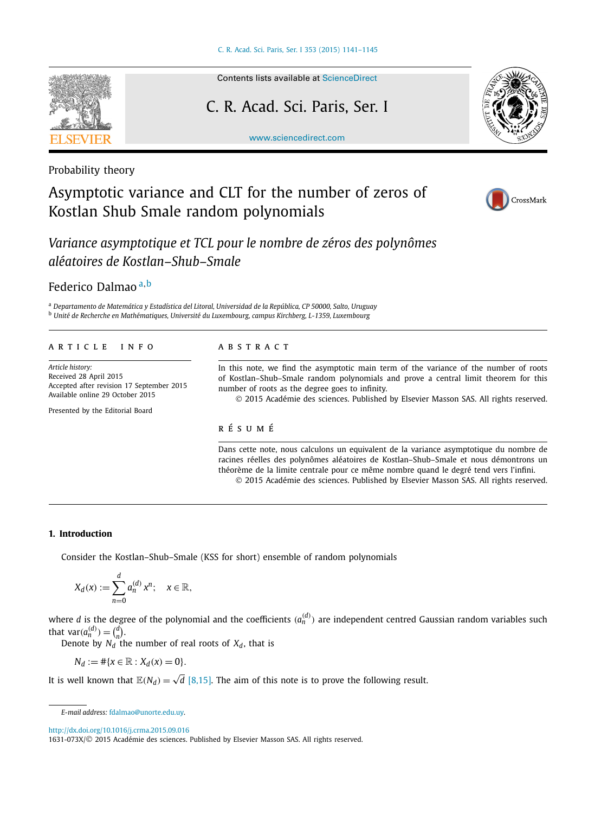

# Contents lists available at [ScienceDirect](http://www.ScienceDirect.com/)

### C. R. Acad. Sci. Paris, Ser. I

[www.sciencedirect.com](http://www.sciencedirect.com)



Probability theory

## Asymptotic variance and CLT for the number of zeros of Kostlan Shub Smale random polynomials



*Variance asymptotique et TCL pour le nombre de zéros des polynômes aléatoires de Kostlan–Shub–Smale*

Federico Dalmao <sup>a</sup>*,*<sup>b</sup>

<sup>a</sup> *Departamento de Matemática y Estadística del Litoral, Universidad de la República, CP 50000, Salto, Uruguay* <sup>b</sup> *Unité de Recherche en Mathématiques, Université du Luxembourg, campus Kirchberg, L-1359, Luxembourg*

#### A R T I C L E I N F O A B S T R A C T

*Article history:* Received 28 April 2015 Accepted after revision 17 September 2015 Available online 29 October 2015

Presented by the Editorial Board

In this note, we find the asymptotic main term of the variance of the number of roots of Kostlan–Shub–Smale random polynomials and prove a central limit theorem for this number of roots as the degree goes to infinity.

© 2015 Académie des sciences. Published by Elsevier Masson SAS. All rights reserved.

### r é s u m é

Dans cette note, nous calculons un equivalent de la variance asymptotique du nombre de racines réelles des polynômes aléatoires de Kostlan–Shub–Smale et nous démontrons un théorème de la limite centrale pour ce même nombre quand le degré tend vers l'infini. © 2015 Académie des sciences. Published by Elsevier Masson SAS. All rights reserved.

#### **1. Introduction**

Consider the Kostlan–Shub–Smale (KSS for short) ensemble of random polynomials

$$
X_d(x) := \sum_{n=0}^d a_n^{(d)} x^n; \quad x \in \mathbb{R},
$$

where *d* is the degree of the polynomial and the coefficients  $(a_n^{(d)})$  are independent centred Gaussian random variables such that  $var(a_n^{(d)}) = {d \choose n}$ .

Denote by  $N_d$  the number of real roots of  $X_d$ , that is

$$
N_d := \# \{ x \in \mathbb{R} : X_d(x) = 0 \}.
$$

It is well known that  $\mathbb{E}(N_d)=\sqrt{d}$  [\[8,15\].](#page-4-0) The aim of this note is to prove the following result.

<http://dx.doi.org/10.1016/j.crma.2015.09.016>

*E-mail address:* [fdalmao@unorte.edu.uy](mailto:fdalmao@unorte.edu.uy).

<sup>1631-073</sup>X/© 2015 Académie des sciences. Published by Elsevier Masson SAS. All rights reserved.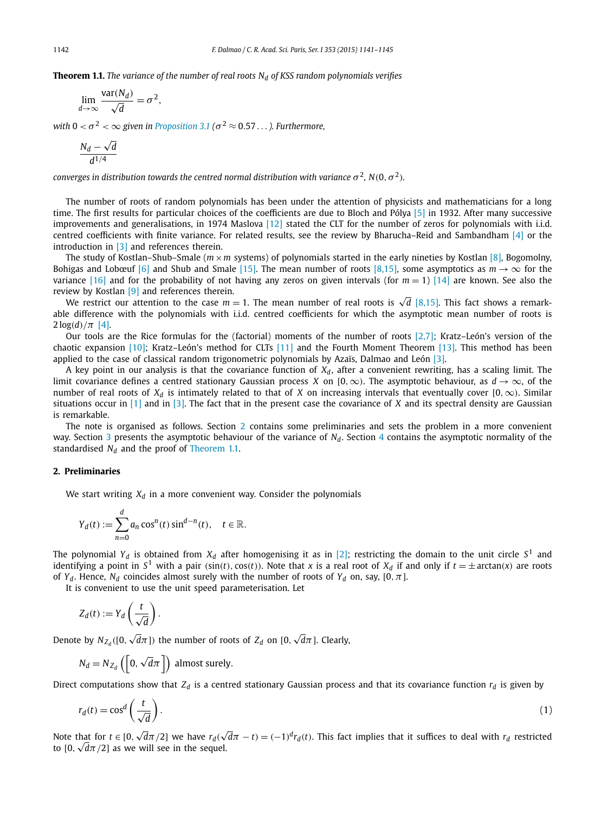<span id="page-1-0"></span>**Theorem 1.1.** *The variance of the number of real roots*  $N_d$  *of KSS random polynomials verifies* 

$$
\lim_{d \to \infty} \frac{\text{var}(N_d)}{\sqrt{d}} = \sigma^2,
$$

*with*  $0 < \sigma^2 < \infty$  *given in [Proposition 3.1](#page-2-0)* ( $\sigma^2 \approx 0.57...$ ). *Furthermore,* 

$$
\frac{N_d-\sqrt{d}}{d^{1/4}}
$$

*converges in distribution towards the centred normal distribution with variance*  $\sigma^2$ ,  $N(0, \sigma^2)$ *.* 

The number of roots of random polynomials has been under the attention of physicists and mathematicians for a long time. The first results for particular choices of the coefficients are due to Bloch and Pólya [\[5\]](#page-4-0) in 1932. After many successive improvements and generalisations, in 1974 Maslova [\[12\]](#page-4-0) stated the CLT for the number of zeros for polynomials with i.i.d. centred coefficients with finite variance. For related results, see the review by Bharucha–Reid and Sambandham [\[4\]](#page-4-0) or the introduction in [\[3\]](#page-4-0) and references therein.

The study of Kostlan–Shub–Smale ( $m \times m$  systems) of polynomials started in the early nineties by Kostlan [\[8\],](#page-4-0) Bogomolny, Bohigas and Lobœuf [\[6\]](#page-4-0) and Shub and Smale [\[15\].](#page-4-0) The mean number of roots [\[8,15\],](#page-4-0) some asymptotics as  $m \to \infty$  for the variance [\[16\]](#page-4-0) and for the probability of not having any zeros on given intervals (for  $m = 1$ ) [\[14\]](#page-4-0) are known. See also the review by Kostlan [\[9\]](#page-4-0) and references therein.

iew by Kostian [9] and references therein.<br>We restrict our attention to the case *m* = 1. The mean number of real roots is √d [\[8,15\].](#page-4-0) This fact shows a remarkable difference with the polynomials with i.i.d. centred coefficients for which the asymptotic mean number of roots is  $2 \log(d) / \pi$  [\[4\].](#page-4-0)

Our tools are the Rice formulas for the (factorial) moments of the number of roots  $[2,7]$ ; Kratz–León's version of the chaotic expansion [\[10\];](#page-4-0) Kratz–León's method for CLTs [\[11\]](#page-4-0) and the Fourth Moment Theorem [\[13\].](#page-4-0) This method has been applied to the case of classical random trigonometric polynomials by Azaïs, Dalmao and León [\[3\].](#page-4-0)

A key point in our analysis is that the covariance function of  $X_d$ , after a convenient rewriting, has a scaling limit. The limit covariance defines a centred stationary Gaussian process *X* on  $[0, \infty)$ . The asymptotic behaviour, as  $d \to \infty$ , of the number of real roots of  $X_d$  is intimately related to that of *X* on increasing intervals that eventually cover [0,  $\infty$ ). Similar situations occur in [\[1\]](#page-4-0) and in [\[3\].](#page-4-0) The fact that in the present case the covariance of *X* and its spectral density are Gaussian is remarkable.

The note is organised as follows. Section 2 contains some preliminaries and sets the problem in a more convenient way. Section [3](#page-2-0) presents the asymptotic behaviour of the variance of *N<sub>d</sub>*. Section [4](#page-3-0) contains the asymptotic normality of the standardised  $N_d$  and the proof of Theorem 1.1.

#### **2. Preliminaries**

We start writing  $X_d$  in a more convenient way. Consider the polynomials

$$
Y_d(t) := \sum_{n=0}^d a_n \cos^n(t) \sin^{d-n}(t), \quad t \in \mathbb{R}.
$$

The polynomial  $Y_d$  is obtained from  $X_d$  after homogenising it as in [\[2\];](#page-4-0) restricting the domain to the unit circle  $S^1$  and identifying a point in  $S^1$  with a pair (sin(t), cos(t)). Note that x is a real root of  $X_d$  if and only if  $t = \pm \arctan(x)$  are roots of *Y<sub>d</sub>*. Hence, *N<sub>d</sub>* coincides almost surely with the number of roots of *Y<sub>d</sub>* on, say, [0,  $\pi$ ].

It is convenient to use the unit speed parameterisation. Let

$$
Z_d(t) := Y_d\left(\frac{t}{\sqrt{d}}\right).
$$

Denote by  $N_{Z_d}([0,\sqrt{d}\pi])$  the number of roots of  $Z_d$  on  $[0,\sqrt{d}\pi]$ . Clearly,

$$
N_d = N_{Z_d} \left( \left[ 0, \sqrt{d\pi} \right] \right)
$$
 almost surely.

Direct computations show that  $Z_d$  is a centred stationary Gaussian process and that its covariance function  $r_d$  is given by

$$
r_d(t) = \cos^d\left(\frac{t}{\sqrt{d}}\right). \tag{1}
$$

Note that for  $t \in [0, \sqrt{d}\pi/2]$  we have  $r_d(\sqrt{d}\pi - t) = (-1)^d r_d(t)$ . This fact implies that it suffices to deal with  $r_d$  restricted to  $[0, \sqrt{d}\pi/2]$  as we will see in the sequel.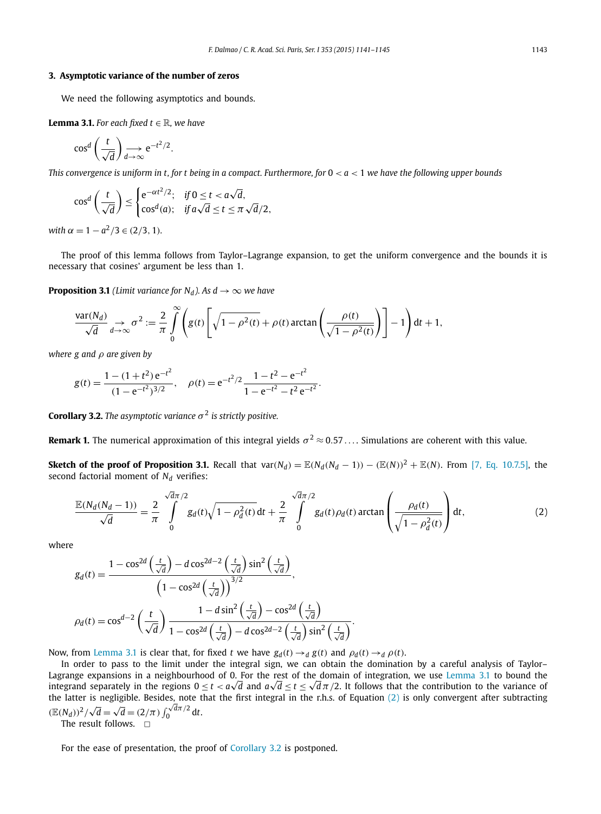#### <span id="page-2-0"></span>**3. Asymptotic variance of the number of zeros**

We need the following asymptotics and bounds.

**Lemma 3.1.** For each fixed  $t \in \mathbb{R}$ , we have

$$
\cos^d\left(\frac{t}{\sqrt{d}}\right) \underset{d \to \infty}{\longrightarrow} e^{-t^2/2}.
$$

This convergence is uniform in t, for t being in a compact. Furthermore, for  $0 < a < 1$  we have the following upper bounds

$$
\cos^d\left(\frac{t}{\sqrt{d}}\right) \le \begin{cases} e^{-\alpha t^2/2}; & \text{if } 0 \le t < a\sqrt{d}, \\ \cos^d(a); & \text{if } a\sqrt{d} \le t \le \pi\sqrt{d}/2, \end{cases}
$$

 $\alpha = 1 - a^2/3 \in (2/3, 1)$ *.* 

The proof of this lemma follows from Taylor–Lagrange expansion, to get the uniform convergence and the bounds it is necessary that cosines' argument be less than 1.

**Proposition 3.1** *(Limit variance for*  $N_d$ *). As*  $d \rightarrow \infty$  *we have* 

$$
\frac{\text{var}(N_d)}{\sqrt{d}} \underset{d \to \infty}{\to} \sigma^2 := \frac{2}{\pi} \int_0^{\infty} \left( g(t) \left[ \sqrt{1 - \rho^2(t)} + \rho(t) \arctan\left(\frac{\rho(t)}{\sqrt{1 - \rho^2(t)}}\right) \right] - 1 \right) dt + 1,
$$

*where g and ρ are given by*

$$
g(t) = \frac{1 - (1 + t^2) e^{-t^2}}{(1 - e^{-t^2})^{3/2}}, \quad \rho(t) = e^{-t^2/2} \frac{1 - t^2 - e^{-t^2}}{1 - e^{-t^2} - t^2 e^{-t^2}}.
$$

**Corollary 3.2.** *The asymptotic variance*  $\sigma^2$  *is strictly positive.* 

**Remark 1.** The numerical approximation of this integral yields  $\sigma^2 \approx 0.57 \dots$ . Simulations are coherent with this value.

**Sketch of the proof of Proposition 3.1.** Recall that  $var(N_d) = \mathbb{E}(N_d(N_d-1)) - (\mathbb{E}(N))^2 + \mathbb{E}(N)$ . From [7, [Eq. 10.7.5\],](#page-4-0) the second factorial moment of  $N_d$  verifies:

$$
\frac{\mathbb{E}(N_d(N_d-1))}{\sqrt{d}} = \frac{2}{\pi} \int_{0}^{\sqrt{d}\pi/2} g_d(t) \sqrt{1 - \rho_d^2(t)} dt + \frac{2}{\pi} \int_{0}^{\sqrt{d}\pi/2} g_d(t) \rho_d(t) \arctan\left(\frac{\rho_d(t)}{\sqrt{1 - \rho_d^2(t)}}\right) dt,
$$
\n(2)

where

$$
g_d(t) = \frac{1 - \cos^{2d}\left(\frac{t}{\sqrt{d}}\right) - d\cos^{2d-2}\left(\frac{t}{\sqrt{d}}\right)\sin^2\left(\frac{t}{\sqrt{d}}\right)}{\left(1 - \cos^{2d}\left(\frac{t}{\sqrt{d}}\right)\right)^{3/2}},
$$

$$
\rho_d(t) = \cos^{d-2}\left(\frac{t}{\sqrt{d}}\right)\frac{1 - d\sin^2\left(\frac{t}{\sqrt{d}}\right) - \cos^{2d}\left(\frac{t}{\sqrt{d}}\right)}{1 - \cos^{2d}\left(\frac{t}{\sqrt{d}}\right) - d\cos^{2d-2}\left(\frac{t}{\sqrt{d}}\right)\sin^2\left(\frac{t}{\sqrt{d}}\right)}.
$$

Now, from Lemma 3.1 is clear that, for fixed *t* we have  $g_d(t) \rightarrow_d g(t)$  and  $\rho_d(t) \rightarrow_d \rho(t)$ .

In order to pass to the limit under the integral sign, we can obtain the domination by a careful analysis of Taylor– Lagrange expansions in a neighbourhood of 0. For the rest of the domain of integration, we use Lemma 3.1 to bound the **Lagrange expansions in a neignbournood of 0.** For the rest of the domain of integration, we use Lemma 3.1 to bound the<br>integrand separately in the regions 0 ≤ *t < a√d* and *a√d* ≤ *t* ≤ √dπ/2. It follows that the contr the latter is negligible. Besides, note that the first integral in the r.h.s. of Equation (2) is only convergent after subtracting  $(E(N_d))^2 / \sqrt{d} = \sqrt{d} = (2/\pi) \int_0^{\sqrt{d}\pi/2} dt$ .

The result follows.  $\Box$ 

For the ease of presentation, the proof of Corollary 3.2 is postponed.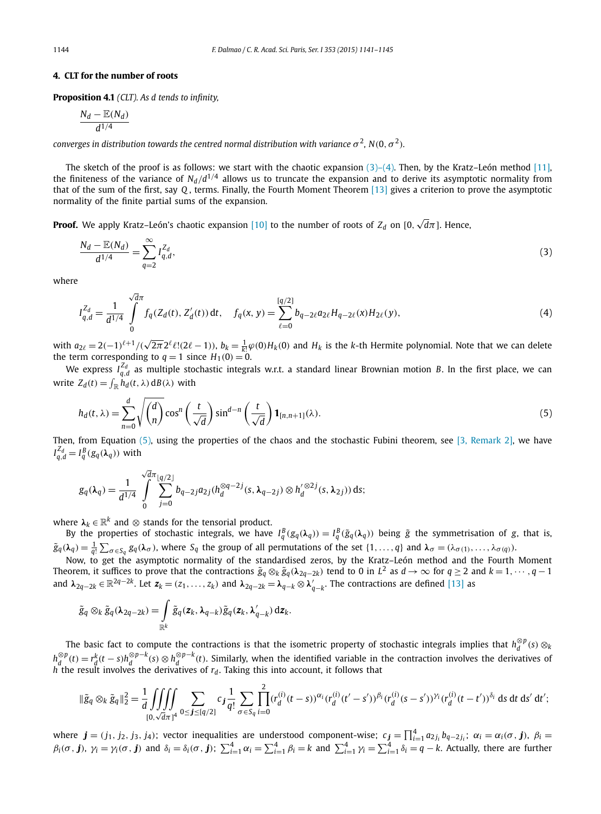#### <span id="page-3-0"></span>**4. CLT for the number of roots**

**Proposition 4.1** *(CLT). As d tends to infinity,*

$$
\frac{N_d - \mathbb{E}(N_d)}{d^{1/4}}
$$

*converges in distribution towards the centred normal distribution with variance*  $\sigma^2$ ,  $N(0, \sigma^2)$ *.* 

The sketch of the proof is as follows: we start with the chaotic expansion  $(3)-(4)$ . Then, by the Kratz–León method [\[11\],](#page-4-0) the finiteness of the variance of  $N_d/d^{1/4}$  allows us to truncate the expansion and to derive its asymptotic normality from that of the sum of the first, say *Q* , terms. Finally, the Fourth Moment Theorem [\[13\]](#page-4-0) gives a criterion to prove the asymptotic normality of the finite partial sums of the expansion.

**Proof.** We apply Kratz–León's chaotic expansion [\[10\]](#page-4-0) to the number of roots of  $Z_d$  on [0,  $\sqrt{d}\pi$ ]. Hence,

$$
\frac{N_d - \mathbb{E}(N_d)}{d^{1/4}} = \sum_{q=2}^{\infty} I_{q,d}^{Z_d},\tag{3}
$$

where

$$
I_{q,d}^{Z_d} = \frac{1}{d^{1/4}} \int\limits_0^{\sqrt{d}\pi} f_q(Z_d(t), Z'_d(t)) dt, \quad f_q(x, y) = \sum_{\ell=0}^{[q/2]} b_{q-2\ell} a_{2\ell} H_{q-2\ell}(x) H_{2\ell}(y), \tag{4}
$$

with  $a_{2\ell}=2(-1)^{\ell+1}/(\sqrt{2\pi}2^{\ell}\ell!(2\ell-1)),$   $b_k=\frac{1}{k!}\varphi(0)H_k(0)$  and  $H_k$  is the k-th Hermite polynomial. Note that we can delete the term corresponding to  $q = 1$  since  $H_1(0) = 0$ .

We express  $I_{q,d}^{Z_d}$  as multiple stochastic integrals w.r.t. a standard linear Brownian motion *B*. In the first place, we can write  $Z_d(t) = \int_{\mathbb{R}} h_d(t, \lambda) dB(\lambda)$  with

$$
h_d(t,\lambda) = \sum_{n=0}^d \sqrt{\binom{d}{n}} \cos^n \left(\frac{t}{\sqrt{d}}\right) \sin^{d-n} \left(\frac{t}{\sqrt{d}}\right) \mathbf{1}_{[n,n+1]}(\lambda). \tag{5}
$$

Then, from Equation  $(5)$ , using the properties of the chaos and the stochastic Fubini theorem, see  $[3]$ , [Remark](#page-4-0) 2], we have  $I_{q,d}^{Z_d} = I_q^B(g_q(\lambda_q))$  with

$$
g_q(\lambda_q) = \frac{1}{d^{1/4}} \int\limits_0^{\sqrt{d}\pi} \sum_{j=0}^{\lfloor q/2 \rfloor} b_{q-2j} a_{2j} (h_d^{\otimes q-2j}(s, \lambda_{q-2j}) \otimes h_d'^{\otimes 2j}(s, \lambda_{2j})) ds;
$$

where  $\lambda_k \in \mathbb{R}^k$  and  $\otimes$  stands for the tensorial product.

By the properties of stochastic integrals, we have  $I_q^B(g_q(\lambda_q)) = I_q^B(\tilde{g}_q(\lambda_q))$  being  $\tilde{g}$  the symmetrisation of g, that is,  $\tilde{g}_q(\boldsymbol{\lambda}_q)=\frac{1}{q!}\sum_{\sigma\in S_q}g_q(\boldsymbol{\lambda}_\sigma)$ , where  $S_q$  the group of all permutations of the set  $\{1,\ldots,q\}$  and  $\boldsymbol{\lambda}_\sigma=(\lambda_{\sigma(1)},\ldots,\lambda_{\sigma(q)}).$ 

Now, to get the asymptotic normality of the standardised zeros, by the Kratz–León method and the Fourth Moment Theorem, it suffices to prove that the contractions  $\tilde{g}_q \otimes_k \tilde{g}_q(\lambda_{2q-2k})$  tend to 0 in  $L^2$  as  $d \to \infty$  for  $q \ge 2$  and  $k = 1, \dots, q-1$ and  $\lambda_{2q-2k} \in \mathbb{R}^{2q-2k}$ . Let  $z_k = (z_1, \ldots, z_k)$  and  $\lambda_{2q-2k} = \lambda_{q-k} \otimes \lambda'_{q-k}$ . The contractions are defined [\[13\]](#page-4-0) as

$$
\tilde{g}_q \otimes_k \tilde{g}_q(\lambda_{2q-2k}) = \int\limits_{\mathbb{R}^k} \tilde{g}_q(z_k, \lambda_{q-k}) \tilde{g}_q(z_k, \lambda'_{q-k}) \,dz_k.
$$

The basic fact to compute the contractions is that the isometric property of stochastic integrals implies that  $h_d^{\otimes p}(s) \otimes_k$  $h_d^{\otimes p}(t) = r_d^k(t-s)h_d^{\otimes p-k}(s) \otimes h_d^{\otimes p-k}(t)$ . Similarly, when the identified variable in the contraction involves the derivatives of  $h$ <sup>"</sup> the result involves the derivatives of  $r_d$ . Taking this into account, it follows that

$$
\|\tilde{g}_q \otimes_k \tilde{g}_q\|_2^2 = \frac{1}{d} \iiint_{[0,\sqrt{d}\pi]^4} \sum_{0 \le j \le [q/2]} c_j \frac{1}{q!} \sum_{\sigma \in S_q} \prod_{i=0}^2 (r_d^{(i)}(t-s))^{\alpha_i} (r_d^{(i)}(t'-s'))^{\beta_i} (r_d^{(i)}(s-s'))^{\gamma_i} (r_d^{(i)}(t-t'))^{\delta_i} ds dt ds' dt';
$$

where  $\bm{j}=(j_1,j_2,j_3,j_4)$ ; vector inequalities are understood component-wise;  $c_{\bm{j}}=\prod_{i=1}^4 a_{2j_i}b_{q-2j_i}$ ;  $\alpha_i=\alpha_i(\sigma,\bm{j})$ ,  $\beta_i=$  $\beta_i(\sigma, \mathbf{j})$ ,  $\gamma_i = \gamma_i(\sigma, \mathbf{j})$  and  $\delta_i = \delta_i(\sigma, \mathbf{j})$ ;  $\sum_{i=1}^4 \alpha_i = \sum_{i=1}^4 \beta_i = k$  and  $\sum_{i=1}^4 \gamma_i = \sum_{i=1}^4 \delta_i = q - k$ . Actually, there are further